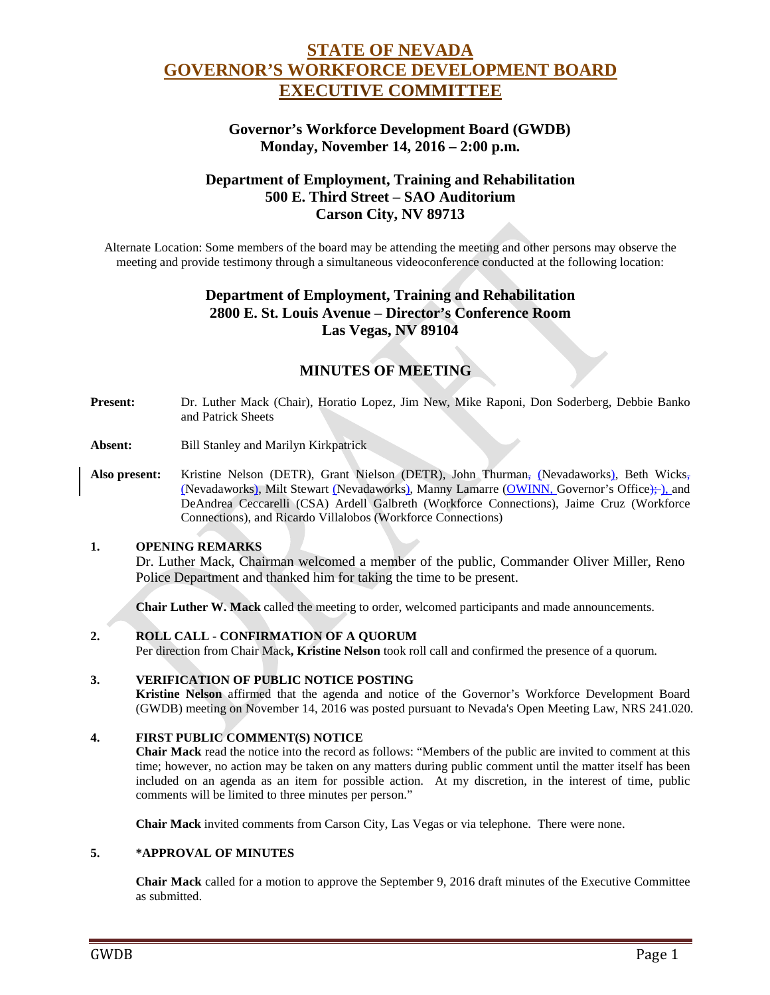# **STATE OF NEVADA GOVERNOR'S WORKFORCE DEVELOPMENT BOARD EXECUTIVE COMMITTEE**

## **Governor's Workforce Development Board (GWDB) Monday, November 14, 2016 – 2:00 p.m.**

# **Department of Employment, Training and Rehabilitation 500 E. Third Street – SAO Auditorium Carson City, NV 89713**

Alternate Location: Some members of the board may be attending the meeting and other persons may observe the meeting and provide testimony through a simultaneous videoconference conducted at the following location:

# **Department of Employment, Training and Rehabilitation 2800 E. St. Louis Avenue – Director's Conference Room Las Vegas, NV 89104**

# **MINUTES OF MEETING**

- **Present:** Dr. Luther Mack (Chair), Horatio Lopez, Jim New, Mike Raponi, Don Soderberg, Debbie Banko and Patrick Sheets
- **Absent:** Bill Stanley and Marilyn Kirkpatrick
- Also present: Kristine Nelson (DETR), Grant Nielson (DETR), John Thurman, (Nevadaworks), Beth Wicks, (Nevadaworks), Milt Stewart (Nevadaworks), Manny Lamarre (OWINN, Governor's Office); ), and DeAndrea Ceccarelli (CSA) Ardell Galbreth (Workforce Connections), Jaime Cruz (Workforce Connections), and Ricardo Villalobos (Workforce Connections)

#### **1. OPENING REMARKS**

Dr. Luther Mack, Chairman welcomed a member of the public, Commander Oliver Miller, Reno Police Department and thanked him for taking the time to be present.

**Chair Luther W. Mack** called the meeting to order, welcomed participants and made announcements.

#### **2. ROLL CALL - CONFIRMATION OF A QUORUM**

Per direction from Chair Mack**, Kristine Nelson** took roll call and confirmed the presence of a quorum.

#### **3. VERIFICATION OF PUBLIC NOTICE POSTING**

**Kristine Nelson** affirmed that the agenda and notice of the Governor's Workforce Development Board (GWDB) meeting on November 14, 2016 was posted pursuant to Nevada's Open Meeting Law, NRS 241.020.

#### **4. FIRST PUBLIC COMMENT(S) NOTICE**

**Chair Mack** read the notice into the record as follows: "Members of the public are invited to comment at this time; however, no action may be taken on any matters during public comment until the matter itself has been included on an agenda as an item for possible action. At my discretion, in the interest of time, public comments will be limited to three minutes per person."

**Chair Mack** invited comments from Carson City, Las Vegas or via telephone. There were none.

#### **5. \*APPROVAL OF MINUTES**

**Chair Mack** called for a motion to approve the September 9, 2016 draft minutes of the Executive Committee as submitted.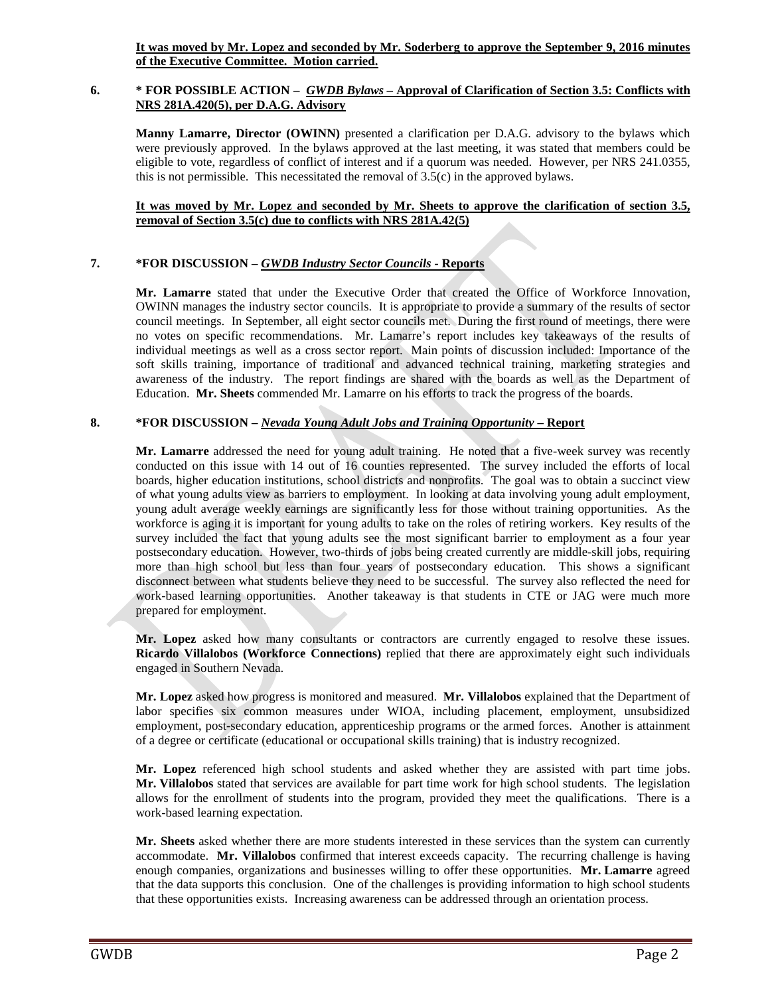**It was moved by Mr. Lopez and seconded by Mr. Soderberg to approve the September 9, 2016 minutes of the Executive Committee. Motion carried.** 

#### **6. \* FOR POSSIBLE ACTION –** *GWDB Bylaws –* **Approval of Clarification of Section 3.5: Conflicts with NRS 281A.420(5), per D.A.G. Advisory**

**Manny Lamarre, Director (OWINN)** presented a clarification per D.A.G. advisory to the bylaws which were previously approved. In the bylaws approved at the last meeting, it was stated that members could be eligible to vote, regardless of conflict of interest and if a quorum was needed. However, per NRS 241.0355, this is not permissible. This necessitated the removal of 3.5(c) in the approved bylaws.

#### **It was moved by Mr. Lopez and seconded by Mr. Sheets to approve the clarification of section 3.5, removal of Section 3.5(c) due to conflicts with NRS 281A.42(5)**

## **7. \*FOR DISCUSSION –** *GWDB Industry Sector Councils -* **Reports**

**Mr. Lamarre** stated that under the Executive Order that created the Office of Workforce Innovation, OWINN manages the industry sector councils. It is appropriate to provide a summary of the results of sector council meetings. In September, all eight sector councils met. During the first round of meetings, there were no votes on specific recommendations. Mr. Lamarre's report includes key takeaways of the results of individual meetings as well as a cross sector report. Main points of discussion included: Importance of the soft skills training, importance of traditional and advanced technical training, marketing strategies and awareness of the industry. The report findings are shared with the boards as well as the Department of Education. **Mr. Sheets** commended Mr. Lamarre on his efforts to track the progress of the boards.

## **8. \*FOR DISCUSSION –** *Nevada Young Adult Jobs and Training Opportunity* **– Report**

**Mr. Lamarre** addressed the need for young adult training. He noted that a five-week survey was recently conducted on this issue with 14 out of 16 counties represented. The survey included the efforts of local boards, higher education institutions, school districts and nonprofits. The goal was to obtain a succinct view of what young adults view as barriers to employment. In looking at data involving young adult employment, young adult average weekly earnings are significantly less for those without training opportunities. As the workforce is aging it is important for young adults to take on the roles of retiring workers. Key results of the survey included the fact that young adults see the most significant barrier to employment as a four year postsecondary education. However, two-thirds of jobs being created currently are middle-skill jobs, requiring more than high school but less than four years of postsecondary education. This shows a significant disconnect between what students believe they need to be successful. The survey also reflected the need for work-based learning opportunities. Another takeaway is that students in CTE or JAG were much more prepared for employment.

**Mr. Lopez** asked how many consultants or contractors are currently engaged to resolve these issues. **Ricardo Villalobos (Workforce Connections)** replied that there are approximately eight such individuals engaged in Southern Nevada.

**Mr. Lopez** asked how progress is monitored and measured. **Mr. Villalobos** explained that the Department of labor specifies six common measures under WIOA, including placement, employment, unsubsidized employment, post-secondary education, apprenticeship programs or the armed forces. Another is attainment of a degree or certificate (educational or occupational skills training) that is industry recognized.

**Mr. Lopez** referenced high school students and asked whether they are assisted with part time jobs. **Mr. Villalobos** stated that services are available for part time work for high school students. The legislation allows for the enrollment of students into the program, provided they meet the qualifications. There is a work-based learning expectation.

**Mr. Sheets** asked whether there are more students interested in these services than the system can currently accommodate. **Mr. Villalobos** confirmed that interest exceeds capacity. The recurring challenge is having enough companies, organizations and businesses willing to offer these opportunities. **Mr. Lamarre** agreed that the data supports this conclusion. One of the challenges is providing information to high school students that these opportunities exists. Increasing awareness can be addressed through an orientation process.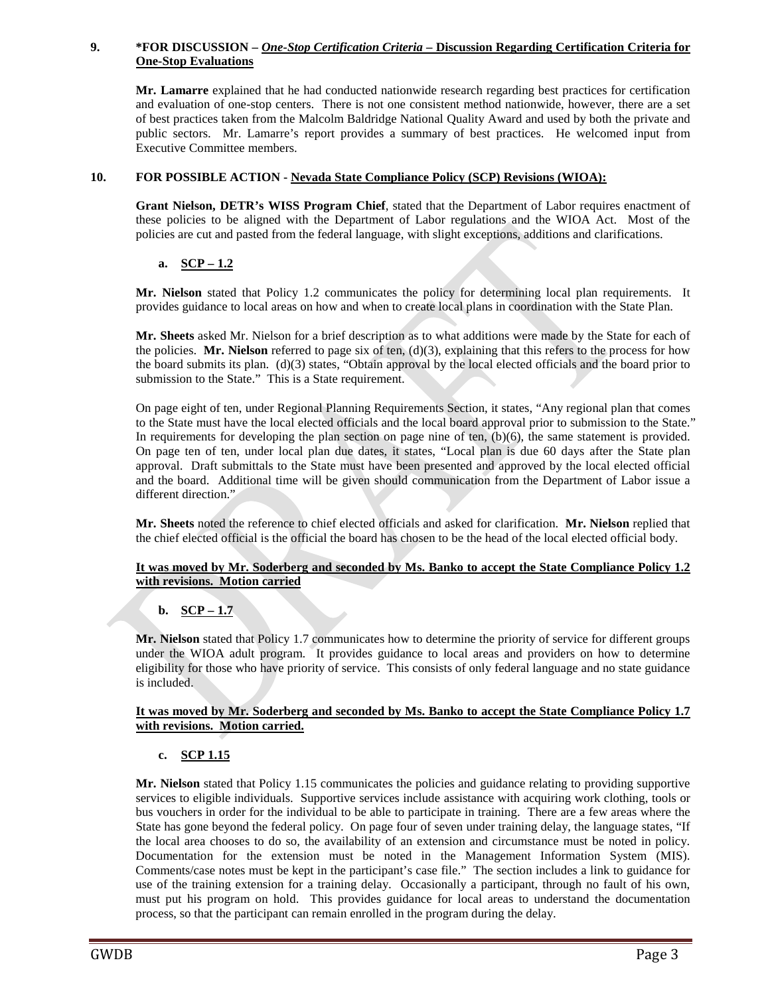## **9. \*FOR DISCUSSION –** *One-Stop Certification Criteria* **– Discussion Regarding Certification Criteria for One-Stop Evaluations**

**Mr. Lamarre** explained that he had conducted nationwide research regarding best practices for certification and evaluation of one-stop centers. There is not one consistent method nationwide, however, there are a set of best practices taken from the Malcolm Baldridge National Quality Award and used by both the private and public sectors. Mr. Lamarre's report provides a summary of best practices. He welcomed input from Executive Committee members.

## **10. FOR POSSIBLE ACTION - Nevada State Compliance Policy (SCP) Revisions (WIOA):**

**Grant Nielson, DETR's WISS Program Chief**, stated that the Department of Labor requires enactment of these policies to be aligned with the Department of Labor regulations and the WIOA Act. Most of the policies are cut and pasted from the federal language, with slight exceptions, additions and clarifications.

## **a. SCP – 1.2**

**Mr. Nielson** stated that Policy 1.2 communicates the policy for determining local plan requirements. It provides guidance to local areas on how and when to create local plans in coordination with the State Plan.

**Mr. Sheets** asked Mr. Nielson for a brief description as to what additions were made by the State for each of the policies. **Mr. Nielson** referred to page six of ten, (d)(3), explaining that this refers to the process for how the board submits its plan. (d)(3) states, "Obtain approval by the local elected officials and the board prior to submission to the State." This is a State requirement.

On page eight of ten, under Regional Planning Requirements Section, it states, "Any regional plan that comes to the State must have the local elected officials and the local board approval prior to submission to the State." In requirements for developing the plan section on page nine of ten,  $(b)(6)$ , the same statement is provided. On page ten of ten, under local plan due dates, it states, "Local plan is due 60 days after the State plan approval. Draft submittals to the State must have been presented and approved by the local elected official and the board. Additional time will be given should communication from the Department of Labor issue a different direction."

**Mr. Sheets** noted the reference to chief elected officials and asked for clarification. **Mr. Nielson** replied that the chief elected official is the official the board has chosen to be the head of the local elected official body.

## **It was moved by Mr. Soderberg and seconded by Ms. Banko to accept the State Compliance Policy 1.2 with revisions. Motion carried**

## **b. SCP – 1.7**

**Mr. Nielson** stated that Policy 1.7 communicates how to determine the priority of service for different groups under the WIOA adult program. It provides guidance to local areas and providers on how to determine eligibility for those who have priority of service. This consists of only federal language and no state guidance is included.

#### **It was moved by Mr. Soderberg and seconded by Ms. Banko to accept the State Compliance Policy 1.7 with revisions. Motion carried.**

## **c. SCP 1.15**

**Mr. Nielson** stated that Policy 1.15 communicates the policies and guidance relating to providing supportive services to eligible individuals. Supportive services include assistance with acquiring work clothing, tools or bus vouchers in order for the individual to be able to participate in training. There are a few areas where the State has gone beyond the federal policy. On page four of seven under training delay, the language states, "If the local area chooses to do so, the availability of an extension and circumstance must be noted in policy. Documentation for the extension must be noted in the Management Information System (MIS). Comments/case notes must be kept in the participant's case file." The section includes a link to guidance for use of the training extension for a training delay. Occasionally a participant, through no fault of his own, must put his program on hold. This provides guidance for local areas to understand the documentation process, so that the participant can remain enrolled in the program during the delay.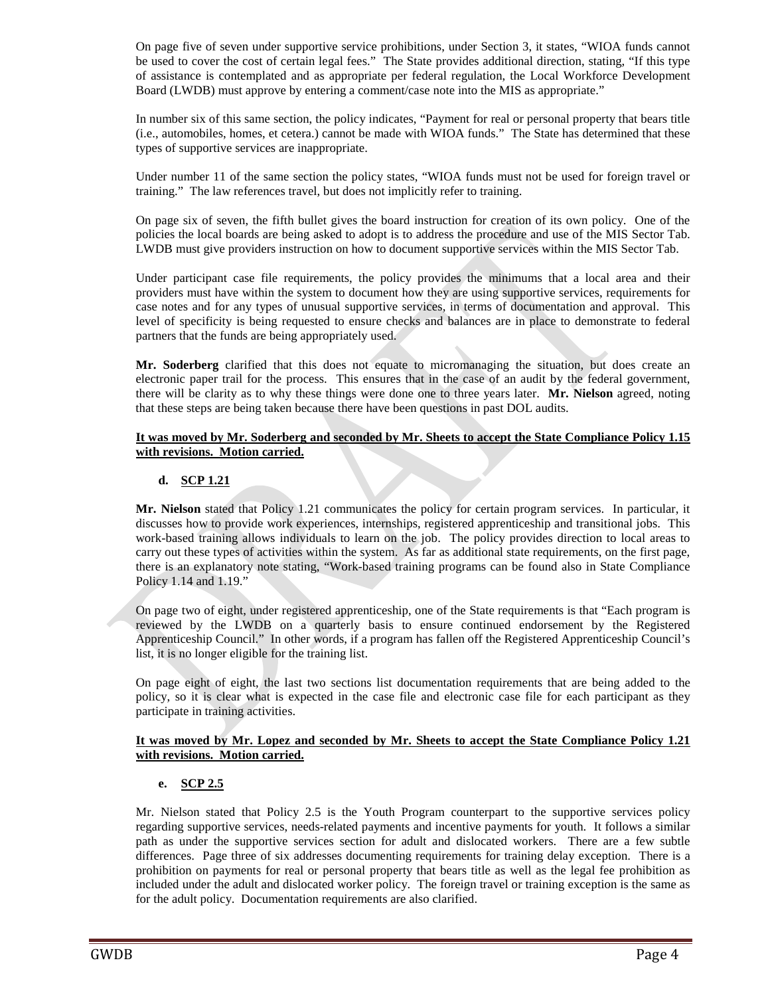On page five of seven under supportive service prohibitions, under Section 3, it states, "WIOA funds cannot be used to cover the cost of certain legal fees." The State provides additional direction, stating, "If this type of assistance is contemplated and as appropriate per federal regulation, the Local Workforce Development Board (LWDB) must approve by entering a comment/case note into the MIS as appropriate."

In number six of this same section, the policy indicates, "Payment for real or personal property that bears title (i.e., automobiles, homes, et cetera.) cannot be made with WIOA funds." The State has determined that these types of supportive services are inappropriate.

Under number 11 of the same section the policy states, "WIOA funds must not be used for foreign travel or training." The law references travel, but does not implicitly refer to training.

On page six of seven, the fifth bullet gives the board instruction for creation of its own policy. One of the policies the local boards are being asked to adopt is to address the procedure and use of the MIS Sector Tab. LWDB must give providers instruction on how to document supportive services within the MIS Sector Tab.

Under participant case file requirements, the policy provides the minimums that a local area and their providers must have within the system to document how they are using supportive services, requirements for case notes and for any types of unusual supportive services, in terms of documentation and approval. This level of specificity is being requested to ensure checks and balances are in place to demonstrate to federal partners that the funds are being appropriately used.

**Mr. Soderberg** clarified that this does not equate to micromanaging the situation, but does create an electronic paper trail for the process. This ensures that in the case of an audit by the federal government, there will be clarity as to why these things were done one to three years later. **Mr. Nielson** agreed, noting that these steps are being taken because there have been questions in past DOL audits.

#### **It was moved by Mr. Soderberg and seconded by Mr. Sheets to accept the State Compliance Policy 1.15 with revisions. Motion carried.**

## **d. SCP 1.21**

**Mr. Nielson** stated that Policy 1.21 communicates the policy for certain program services. In particular, it discusses how to provide work experiences, internships, registered apprenticeship and transitional jobs. This work-based training allows individuals to learn on the job. The policy provides direction to local areas to carry out these types of activities within the system. As far as additional state requirements, on the first page, there is an explanatory note stating, "Work-based training programs can be found also in State Compliance Policy 1.14 and 1.19."

On page two of eight, under registered apprenticeship, one of the State requirements is that "Each program is reviewed by the LWDB on a quarterly basis to ensure continued endorsement by the Registered Apprenticeship Council." In other words, if a program has fallen off the Registered Apprenticeship Council's list, it is no longer eligible for the training list.

On page eight of eight, the last two sections list documentation requirements that are being added to the policy, so it is clear what is expected in the case file and electronic case file for each participant as they participate in training activities.

#### **It was moved by Mr. Lopez and seconded by Mr. Sheets to accept the State Compliance Policy 1.21 with revisions. Motion carried.**

## **e. SCP 2.5**

Mr. Nielson stated that Policy 2.5 is the Youth Program counterpart to the supportive services policy regarding supportive services, needs-related payments and incentive payments for youth. It follows a similar path as under the supportive services section for adult and dislocated workers. There are a few subtle differences. Page three of six addresses documenting requirements for training delay exception. There is a prohibition on payments for real or personal property that bears title as well as the legal fee prohibition as included under the adult and dislocated worker policy. The foreign travel or training exception is the same as for the adult policy. Documentation requirements are also clarified.